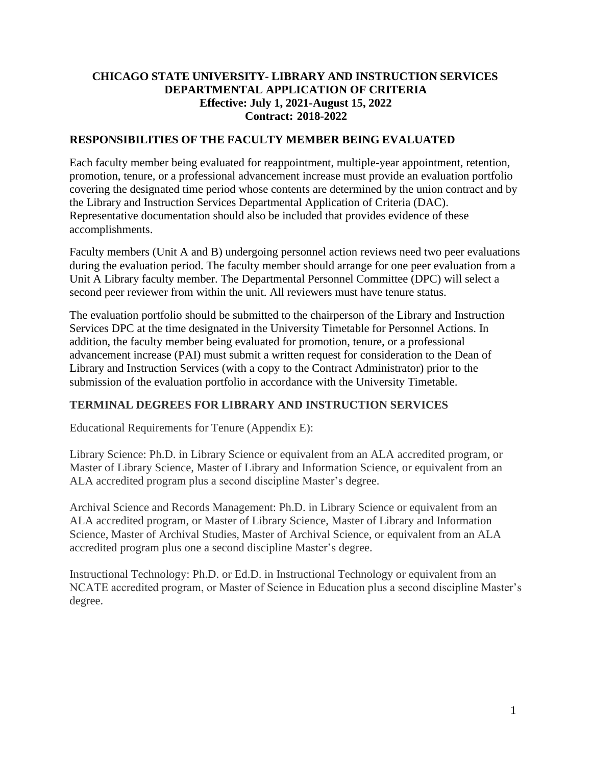#### **CHICAGO STATE UNIVERSITY- LIBRARY AND INSTRUCTION SERVICES DEPARTMENTAL APPLICATION OF CRITERIA Effective: July 1, 2021-August 15, 2022 Contract: 2018-2022**

#### **RESPONSIBILITIES OF THE FACULTY MEMBER BEING EVALUATED**

Each faculty member being evaluated for reappointment, multiple-year appointment, retention, promotion, tenure, or a professional advancement increase must provide an evaluation portfolio covering the designated time period whose contents are determined by the union contract and by the Library and Instruction Services Departmental Application of Criteria (DAC). Representative documentation should also be included that provides evidence of these accomplishments.

Faculty members (Unit A and B) undergoing personnel action reviews need two peer evaluations during the evaluation period. The faculty member should arrange for one peer evaluation from a Unit A Library faculty member. The Departmental Personnel Committee (DPC) will select a second peer reviewer from within the unit. All reviewers must have tenure status.

The evaluation portfolio should be submitted to the chairperson of the Library and Instruction Services DPC at the time designated in the University Timetable for Personnel Actions. In addition, the faculty member being evaluated for promotion, tenure, or a professional advancement increase (PAI) must submit a written request for consideration to the Dean of Library and Instruction Services (with a copy to the Contract Administrator) prior to the submission of the evaluation portfolio in accordance with the University Timetable.

#### **TERMINAL DEGREES FOR LIBRARY AND INSTRUCTION SERVICES**

Educational Requirements for Tenure (Appendix E):

Library Science: Ph.D. in Library Science or equivalent from an ALA accredited program, or Master of Library Science, Master of Library and Information Science, or equivalent from an ALA accredited program plus a second discipline Master's degree.

Archival Science and Records Management: Ph.D. in Library Science or equivalent from an ALA accredited program, or Master of Library Science, Master of Library and Information Science, Master of Archival Studies, Master of Archival Science, or equivalent from an ALA accredited program plus one a second discipline Master's degree.

Instructional Technology: Ph.D. or Ed.D. in Instructional Technology or equivalent from an NCATE accredited program, or Master of Science in Education plus a second discipline Master's degree.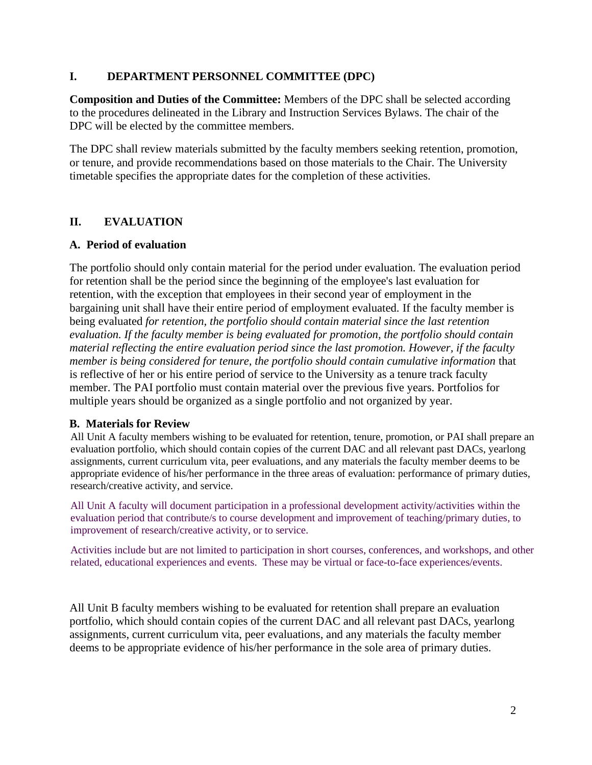#### **I. DEPARTMENT PERSONNEL COMMITTEE (DPC)**

**Composition and Duties of the Committee:** Members of the DPC shall be selected according to the procedures delineated in the Library and Instruction Services Bylaws. The chair of the DPC will be elected by the committee members.

The DPC shall review materials submitted by the faculty members seeking retention, promotion, or tenure, and provide recommendations based on those materials to the Chair. The University timetable specifies the appropriate dates for the completion of these activities.

## **II. EVALUATION**

#### **A. Period of evaluation**

The portfolio should only contain material for the period under evaluation. The evaluation period for retention shall be the period since the beginning of the employee's last evaluation for retention, with the exception that employees in their second year of employment in the bargaining unit shall have their entire period of employment evaluated. If the faculty member is being evaluated *for retention, the portfolio should contain material since the last retention evaluation. If the faculty member is being evaluated for promotion, the portfolio should contain material reflecting the entire evaluation period since the last promotion. However, if the faculty member is being considered for tenure, the portfolio should contain cumulative information* that is reflective of her or his entire period of service to the University as a tenure track faculty member. The PAI portfolio must contain material over the previous five years. Portfolios for multiple years should be organized as a single portfolio and not organized by year.

#### **B. Materials for Review**

All Unit A faculty members wishing to be evaluated for retention, tenure, promotion, or PAI shall prepare an evaluation portfolio, which should contain copies of the current DAC and all relevant past DACs, yearlong assignments, current curriculum vita, peer evaluations, and any materials the faculty member deems to be appropriate evidence of his/her performance in the three areas of evaluation: performance of primary duties, research/creative activity, and service.

All Unit A faculty will document participation in a professional development activity/activities within the evaluation period that contribute/s to course development and improvement of teaching/primary duties, to improvement of research/creative activity, or to service.

Activities include but are not limited to participation in short courses, conferences, and workshops, and other related, educational experiences and events. These may be virtual or face-to-face experiences/events.

All Unit B faculty members wishing to be evaluated for retention shall prepare an evaluation portfolio, which should contain copies of the current DAC and all relevant past DACs, yearlong assignments, current curriculum vita, peer evaluations, and any materials the faculty member deems to be appropriate evidence of his/her performance in the sole area of primary duties.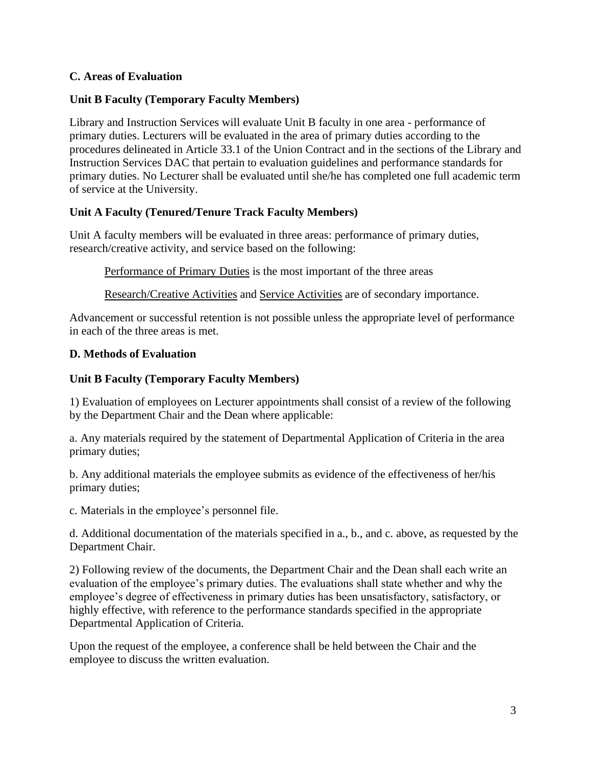#### **C. Areas of Evaluation**

## **Unit B Faculty (Temporary Faculty Members)**

Library and Instruction Services will evaluate Unit B faculty in one area - performance of primary duties. Lecturers will be evaluated in the area of primary duties according to the procedures delineated in Article 33.1 of the Union Contract and in the sections of the Library and Instruction Services DAC that pertain to evaluation guidelines and performance standards for primary duties. No Lecturer shall be evaluated until she/he has completed one full academic term of service at the University.

## **Unit A Faculty (Tenured/Tenure Track Faculty Members)**

Unit A faculty members will be evaluated in three areas: performance of primary duties, research/creative activity, and service based on the following:

Performance of Primary Duties is the most important of the three areas

Research/Creative Activities and Service Activities are of secondary importance.

Advancement or successful retention is not possible unless the appropriate level of performance in each of the three areas is met.

#### **D. Methods of Evaluation**

#### **Unit B Faculty (Temporary Faculty Members)**

1) Evaluation of employees on Lecturer appointments shall consist of a review of the following by the Department Chair and the Dean where applicable:

a. Any materials required by the statement of Departmental Application of Criteria in the area primary duties;

b. Any additional materials the employee submits as evidence of the effectiveness of her/his primary duties;

c. Materials in the employee's personnel file.

d. Additional documentation of the materials specified in a., b., and c. above, as requested by the Department Chair.

2) Following review of the documents, the Department Chair and the Dean shall each write an evaluation of the employee's primary duties. The evaluations shall state whether and why the employee's degree of effectiveness in primary duties has been unsatisfactory, satisfactory, or highly effective, with reference to the performance standards specified in the appropriate Departmental Application of Criteria.

Upon the request of the employee, a conference shall be held between the Chair and the employee to discuss the written evaluation.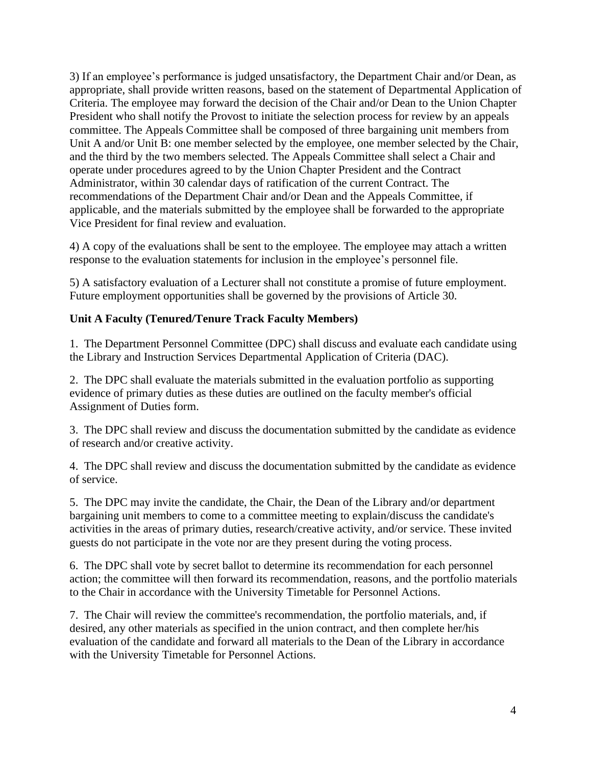3) If an employee's performance is judged unsatisfactory, the Department Chair and/or Dean, as appropriate, shall provide written reasons, based on the statement of Departmental Application of Criteria. The employee may forward the decision of the Chair and/or Dean to the Union Chapter President who shall notify the Provost to initiate the selection process for review by an appeals committee. The Appeals Committee shall be composed of three bargaining unit members from Unit A and/or Unit B: one member selected by the employee, one member selected by the Chair, and the third by the two members selected. The Appeals Committee shall select a Chair and operate under procedures agreed to by the Union Chapter President and the Contract Administrator, within 30 calendar days of ratification of the current Contract. The recommendations of the Department Chair and/or Dean and the Appeals Committee, if applicable, and the materials submitted by the employee shall be forwarded to the appropriate Vice President for final review and evaluation.

4) A copy of the evaluations shall be sent to the employee. The employee may attach a written response to the evaluation statements for inclusion in the employee's personnel file.

5) A satisfactory evaluation of a Lecturer shall not constitute a promise of future employment. Future employment opportunities shall be governed by the provisions of Article 30.

## **Unit A Faculty (Tenured/Tenure Track Faculty Members)**

1. The Department Personnel Committee (DPC) shall discuss and evaluate each candidate using the Library and Instruction Services Departmental Application of Criteria (DAC).

2. The DPC shall evaluate the materials submitted in the evaluation portfolio as supporting evidence of primary duties as these duties are outlined on the faculty member's official Assignment of Duties form.

3. The DPC shall review and discuss the documentation submitted by the candidate as evidence of research and/or creative activity.

4. The DPC shall review and discuss the documentation submitted by the candidate as evidence of service.

5. The DPC may invite the candidate, the Chair, the Dean of the Library and/or department bargaining unit members to come to a committee meeting to explain/discuss the candidate's activities in the areas of primary duties, research/creative activity, and/or service. These invited guests do not participate in the vote nor are they present during the voting process.

6. The DPC shall vote by secret ballot to determine its recommendation for each personnel action; the committee will then forward its recommendation, reasons, and the portfolio materials to the Chair in accordance with the University Timetable for Personnel Actions.

7. The Chair will review the committee's recommendation, the portfolio materials, and, if desired, any other materials as specified in the union contract, and then complete her/his evaluation of the candidate and forward all materials to the Dean of the Library in accordance with the University Timetable for Personnel Actions.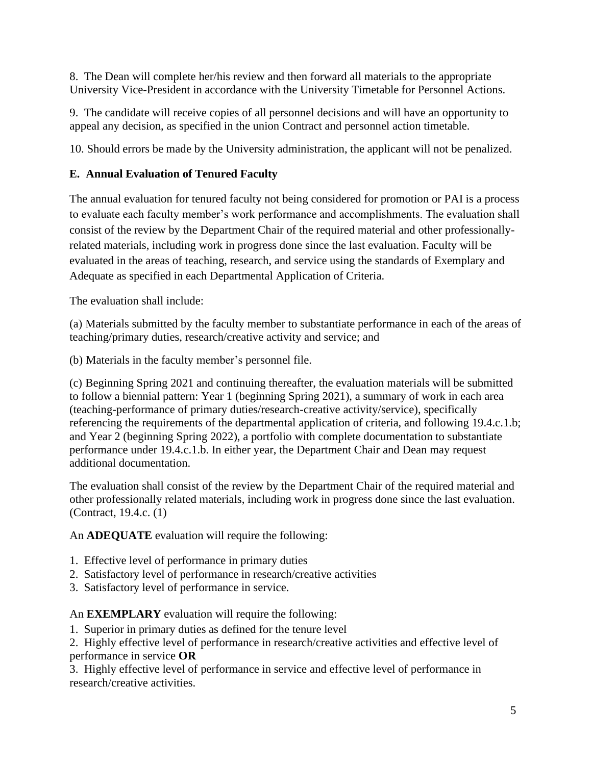8. The Dean will complete her/his review and then forward all materials to the appropriate University Vice-President in accordance with the University Timetable for Personnel Actions.

9. The candidate will receive copies of all personnel decisions and will have an opportunity to appeal any decision, as specified in the union Contract and personnel action timetable.

10. Should errors be made by the University administration, the applicant will not be penalized.

# **E. Annual Evaluation of Tenured Faculty**

The annual evaluation for tenured faculty not being considered for promotion or PAI is a process to evaluate each faculty member's work performance and accomplishments. The evaluation shall consist of the review by the Department Chair of the required material and other professionallyrelated materials, including work in progress done since the last evaluation. Faculty will be evaluated in the areas of teaching, research, and service using the standards of Exemplary and Adequate as specified in each Departmental Application of Criteria.

The evaluation shall include:

(a) Materials submitted by the faculty member to substantiate performance in each of the areas of teaching/primary duties, research/creative activity and service; and

(b) Materials in the faculty member's personnel file.

(c) Beginning Spring 2021 and continuing thereafter, the evaluation materials will be submitted to follow a biennial pattern: Year 1 (beginning Spring 2021), a summary of work in each area (teaching-performance of primary duties/research-creative activity/service), specifically referencing the requirements of the departmental application of criteria, and following 19.4.c.1.b; and Year 2 (beginning Spring 2022), a portfolio with complete documentation to substantiate performance under 19.4.c.1.b. In either year, the Department Chair and Dean may request additional documentation.

The evaluation shall consist of the review by the Department Chair of the required material and other professionally related materials, including work in progress done since the last evaluation. (Contract, 19.4.c. (1)

An **ADEQUATE** evaluation will require the following:

- 1. Effective level of performance in primary duties
- 2. Satisfactory level of performance in research/creative activities
- 3. Satisfactory level of performance in service.

An **EXEMPLARY** evaluation will require the following:

1. Superior in primary duties as defined for the tenure level

2. Highly effective level of performance in research/creative activities and effective level of performance in service **OR**

3. Highly effective level of performance in service and effective level of performance in research/creative activities.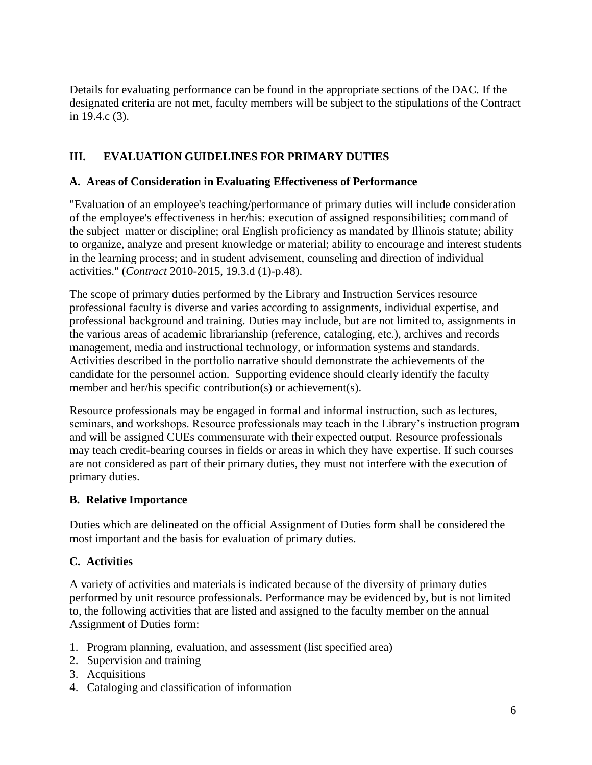Details for evaluating performance can be found in the appropriate sections of the DAC. If the designated criteria are not met, faculty members will be subject to the stipulations of the Contract in 19.4.c (3).

# **III. EVALUATION GUIDELINES FOR PRIMARY DUTIES**

#### **A. Areas of Consideration in Evaluating Effectiveness of Performance**

"Evaluation of an employee's teaching/performance of primary duties will include consideration of the employee's effectiveness in her/his: execution of assigned responsibilities; command of the subject matter or discipline; oral English proficiency as mandated by Illinois statute; ability to organize, analyze and present knowledge or material; ability to encourage and interest students in the learning process; and in student advisement, counseling and direction of individual activities." (*Contract* 2010-2015, 19.3.d (1)-p.48).

The scope of primary duties performed by the Library and Instruction Services resource professional faculty is diverse and varies according to assignments, individual expertise, and professional background and training. Duties may include, but are not limited to, assignments in the various areas of academic librarianship (reference, cataloging, etc.), archives and records management, media and instructional technology, or information systems and standards. Activities described in the portfolio narrative should demonstrate the achievements of the candidate for the personnel action. Supporting evidence should clearly identify the faculty member and her/his specific contribution(s) or achievement(s).

Resource professionals may be engaged in formal and informal instruction, such as lectures, seminars, and workshops. Resource professionals may teach in the Library's instruction program and will be assigned CUEs commensurate with their expected output. Resource professionals may teach credit-bearing courses in fields or areas in which they have expertise. If such courses are not considered as part of their primary duties, they must not interfere with the execution of primary duties.

#### **B. Relative Importance**

Duties which are delineated on the official Assignment of Duties form shall be considered the most important and the basis for evaluation of primary duties.

#### **C. Activities**

A variety of activities and materials is indicated because of the diversity of primary duties performed by unit resource professionals. Performance may be evidenced by, but is not limited to, the following activities that are listed and assigned to the faculty member on the annual Assignment of Duties form:

- 1. Program planning, evaluation, and assessment (list specified area)
- 2. Supervision and training
- 3. Acquisitions
- 4. Cataloging and classification of information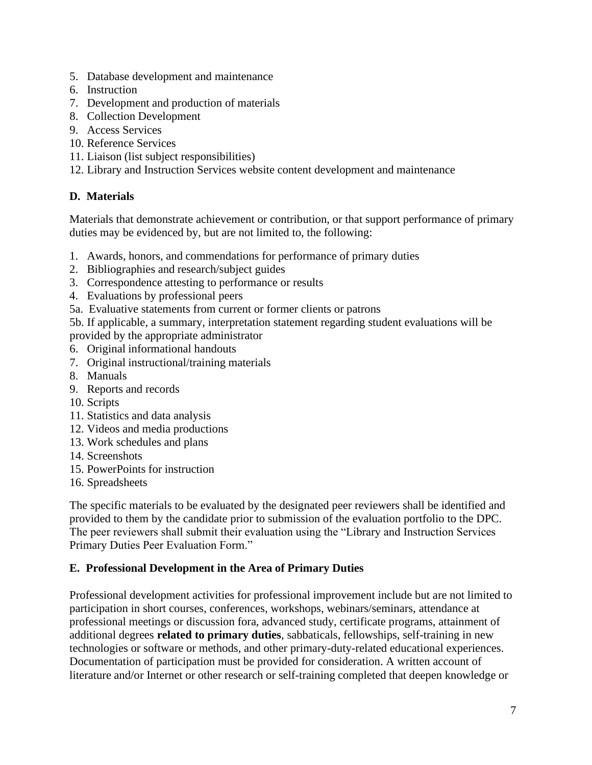- 5. Database development and maintenance
- 6. Instruction
- 7. Development and production of materials
- 8. Collection Development
- 9. Access Services
- 10. Reference Services
- 11. Liaison (list subject responsibilities)
- 12. Library and Instruction Services website content development and maintenance

# **D. Materials**

Materials that demonstrate achievement or contribution, or that support performance of primary duties may be evidenced by, but are not limited to, the following:

- 1. Awards, honors, and commendations for performance of primary duties
- 2. Bibliographies and research/subject guides
- 3. Correspondence attesting to performance or results
- 4. Evaluations by professional peers
- 5a. Evaluative statements from current or former clients or patrons

5b. If applicable, a summary, interpretation statement regarding student evaluations will be provided by the appropriate administrator

- 6. Original informational handouts
- 7. Original instructional/training materials
- 8. Manuals
- 9. Reports and records
- 10. Scripts
- 11. Statistics and data analysis
- 12. Videos and media productions
- 13. Work schedules and plans
- 14. Screenshots
- 15. PowerPoints for instruction
- 16. Spreadsheets

The specific materials to be evaluated by the designated peer reviewers shall be identified and provided to them by the candidate prior to submission of the evaluation portfolio to the DPC. The peer reviewers shall submit their evaluation using the "Library and Instruction Services Primary Duties Peer Evaluation Form."

# **E. Professional Development in the Area of Primary Duties**

Professional development activities for professional improvement include but are not limited to participation in short courses, conferences, workshops, webinars/seminars, attendance at professional meetings or discussion fora, advanced study, certificate programs, attainment of additional degrees **related to primary duties**, sabbaticals, fellowships, self-training in new technologies or software or methods, and other primary-duty-related educational experiences. Documentation of participation must be provided for consideration. A written account of literature and/or Internet or other research or self-training completed that deepen knowledge or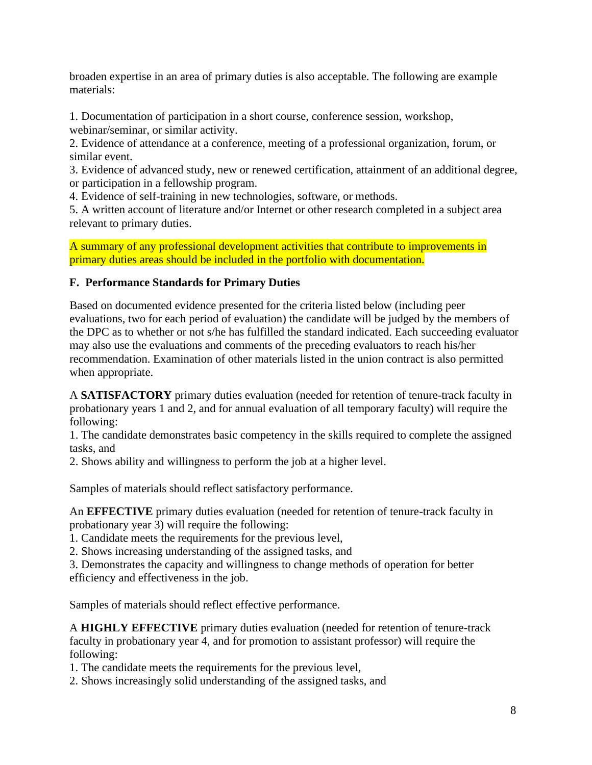broaden expertise in an area of primary duties is also acceptable. The following are example materials:

1. Documentation of participation in a short course, conference session, workshop, webinar/seminar, or similar activity.

2. Evidence of attendance at a conference, meeting of a professional organization, forum, or similar event.

3. Evidence of advanced study, new or renewed certification, attainment of an additional degree, or participation in a fellowship program.

4. Evidence of self-training in new technologies, software, or methods.

5. A written account of literature and/or Internet or other research completed in a subject area relevant to primary duties.

A summary of any professional development activities that contribute to improvements in primary duties areas should be included in the portfolio with documentation.

## **F. Performance Standards for Primary Duties**

Based on documented evidence presented for the criteria listed below (including peer evaluations, two for each period of evaluation) the candidate will be judged by the members of the DPC as to whether or not s/he has fulfilled the standard indicated. Each succeeding evaluator may also use the evaluations and comments of the preceding evaluators to reach his/her recommendation. Examination of other materials listed in the union contract is also permitted when appropriate.

A **SATISFACTORY** primary duties evaluation (needed for retention of tenure-track faculty in probationary years 1 and 2, and for annual evaluation of all temporary faculty) will require the following:

1. The candidate demonstrates basic competency in the skills required to complete the assigned tasks, and

2. Shows ability and willingness to perform the job at a higher level.

Samples of materials should reflect satisfactory performance.

An **EFFECTIVE** primary duties evaluation (needed for retention of tenure-track faculty in probationary year 3) will require the following:

1. Candidate meets the requirements for the previous level,

2. Shows increasing understanding of the assigned tasks, and

3. Demonstrates the capacity and willingness to change methods of operation for better efficiency and effectiveness in the job.

Samples of materials should reflect effective performance.

A **HIGHLY EFFECTIVE** primary duties evaluation (needed for retention of tenure-track faculty in probationary year 4, and for promotion to assistant professor) will require the following:

1. The candidate meets the requirements for the previous level,

2. Shows increasingly solid understanding of the assigned tasks, and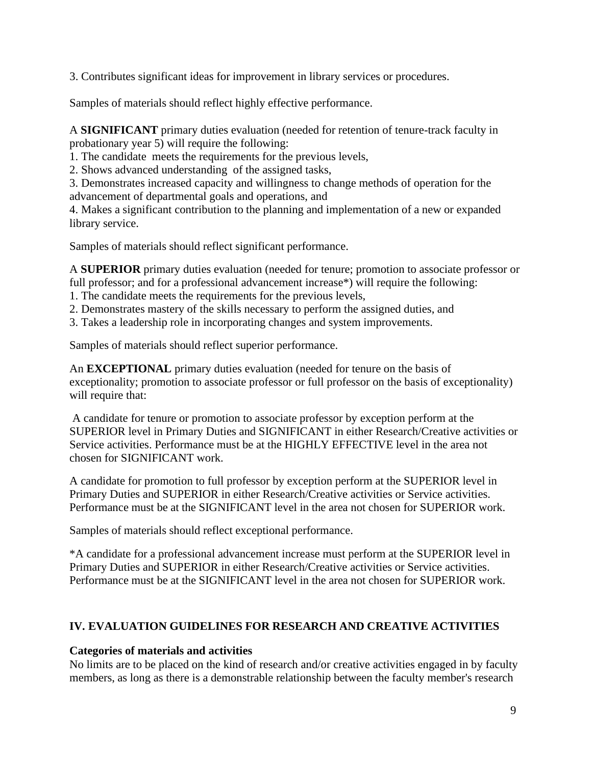3. Contributes significant ideas for improvement in library services or procedures.

Samples of materials should reflect highly effective performance.

A **SIGNIFICANT** primary duties evaluation (needed for retention of tenure-track faculty in probationary year 5) will require the following:

1. The candidate meets the requirements for the previous levels,

2. Shows advanced understanding of the assigned tasks,

3. Demonstrates increased capacity and willingness to change methods of operation for the advancement of departmental goals and operations, and

4. Makes a significant contribution to the planning and implementation of a new or expanded library service.

Samples of materials should reflect significant performance.

A **SUPERIOR** primary duties evaluation (needed for tenure; promotion to associate professor or full professor; and for a professional advancement increase\*) will require the following:

- 1. The candidate meets the requirements for the previous levels,
- 2. Demonstrates mastery of the skills necessary to perform the assigned duties, and
- 3. Takes a leadership role in incorporating changes and system improvements.

Samples of materials should reflect superior performance.

An **EXCEPTIONAL** primary duties evaluation (needed for tenure on the basis of exceptionality; promotion to associate professor or full professor on the basis of exceptionality) will require that:

A candidate for tenure or promotion to associate professor by exception perform at the SUPERIOR level in Primary Duties and SIGNIFICANT in either Research/Creative activities or Service activities. Performance must be at the HIGHLY EFFECTIVE level in the area not chosen for SIGNIFICANT work.

A candidate for promotion to full professor by exception perform at the SUPERIOR level in Primary Duties and SUPERIOR in either Research/Creative activities or Service activities. Performance must be at the SIGNIFICANT level in the area not chosen for SUPERIOR work.

Samples of materials should reflect exceptional performance.

\*A candidate for a professional advancement increase must perform at the SUPERIOR level in Primary Duties and SUPERIOR in either Research/Creative activities or Service activities. Performance must be at the SIGNIFICANT level in the area not chosen for SUPERIOR work.

# **IV. EVALUATION GUIDELINES FOR RESEARCH AND CREATIVE ACTIVITIES**

# **Categories of materials and activities**

No limits are to be placed on the kind of research and/or creative activities engaged in by faculty members, as long as there is a demonstrable relationship between the faculty member's research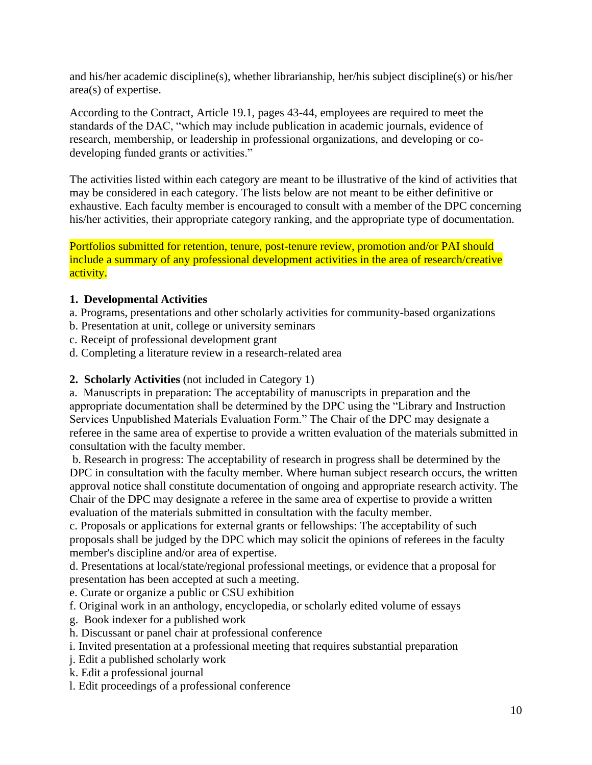and his/her academic discipline(s), whether librarianship, her/his subject discipline(s) or his/her area(s) of expertise.

According to the Contract, Article 19.1, pages 43-44, employees are required to meet the standards of the DAC, "which may include publication in academic journals, evidence of research, membership, or leadership in professional organizations, and developing or codeveloping funded grants or activities."

The activities listed within each category are meant to be illustrative of the kind of activities that may be considered in each category. The lists below are not meant to be either definitive or exhaustive. Each faculty member is encouraged to consult with a member of the DPC concerning his/her activities, their appropriate category ranking, and the appropriate type of documentation.

Portfolios submitted for retention, tenure, post-tenure review, promotion and/or PAI should include a summary of any professional development activities in the area of research/creative activity.

#### **1. Developmental Activities**

- a. Programs, presentations and other scholarly activities for community-based organizations
- b. Presentation at unit, college or university seminars
- c. Receipt of professional development grant
- d. Completing a literature review in a research-related area

#### **2. Scholarly Activities** (not included in Category 1)

a. Manuscripts in preparation: The acceptability of manuscripts in preparation and the appropriate documentation shall be determined by the DPC using the "Library and Instruction Services Unpublished Materials Evaluation Form." The Chair of the DPC may designate a referee in the same area of expertise to provide a written evaluation of the materials submitted in consultation with the faculty member.

b. Research in progress: The acceptability of research in progress shall be determined by the DPC in consultation with the faculty member. Where human subject research occurs, the written approval notice shall constitute documentation of ongoing and appropriate research activity. The Chair of the DPC may designate a referee in the same area of expertise to provide a written evaluation of the materials submitted in consultation with the faculty member.

c. Proposals or applications for external grants or fellowships: The acceptability of such proposals shall be judged by the DPC which may solicit the opinions of referees in the faculty member's discipline and/or area of expertise.

d. Presentations at local/state/regional professional meetings, or evidence that a proposal for presentation has been accepted at such a meeting.

e. Curate or organize a public or CSU exhibition

f. Original work in an anthology, encyclopedia, or scholarly edited volume of essays

g. Book indexer for a published work

- h. Discussant or panel chair at professional conference
- i. Invited presentation at a professional meeting that requires substantial preparation
- j. Edit a published scholarly work
- k. Edit a professional journal
- l. Edit proceedings of a professional conference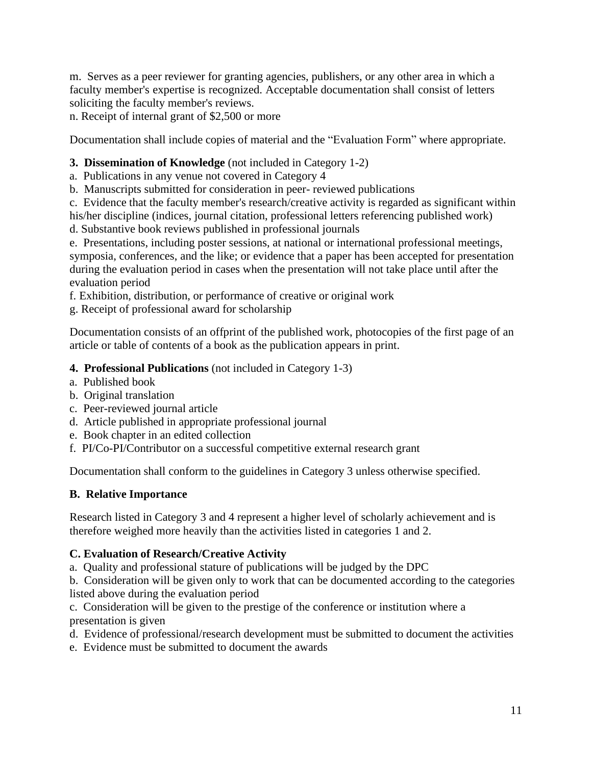m. Serves as a peer reviewer for granting agencies, publishers, or any other area in which a faculty member's expertise is recognized. Acceptable documentation shall consist of letters soliciting the faculty member's reviews.

n. Receipt of internal grant of \$2,500 or more

Documentation shall include copies of material and the "Evaluation Form" where appropriate.

# **3. Dissemination of Knowledge** (not included in Category 1-2)

- a. Publications in any venue not covered in Category 4
- b. Manuscripts submitted for consideration in peer- reviewed publications

c. Evidence that the faculty member's research/creative activity is regarded as significant within his/her discipline (indices, journal citation, professional letters referencing published work)

d. Substantive book reviews published in professional journals

e. Presentations, including poster sessions, at national or international professional meetings, symposia, conferences, and the like; or evidence that a paper has been accepted for presentation during the evaluation period in cases when the presentation will not take place until after the evaluation period

f. Exhibition, distribution, or performance of creative or original work

g. Receipt of professional award for scholarship

Documentation consists of an offprint of the published work, photocopies of the first page of an article or table of contents of a book as the publication appears in print.

## **4. Professional Publications** (not included in Category 1-3)

- a. Published book
- b. Original translation
- c. Peer-reviewed journal article
- d. Article published in appropriate professional journal
- e. Book chapter in an edited collection
- f. PI/Co-PI/Contributor on a successful competitive external research grant

Documentation shall conform to the guidelines in Category 3 unless otherwise specified.

#### **B. Relative Importance**

Research listed in Category 3 and 4 represent a higher level of scholarly achievement and is therefore weighed more heavily than the activities listed in categories 1 and 2.

#### **C. Evaluation of Research/Creative Activity**

a. Quality and professional stature of publications will be judged by the DPC

b. Consideration will be given only to work that can be documented according to the categories listed above during the evaluation period

c. Consideration will be given to the prestige of the conference or institution where a presentation is given

d. Evidence of professional/research development must be submitted to document the activities

e. Evidence must be submitted to document the awards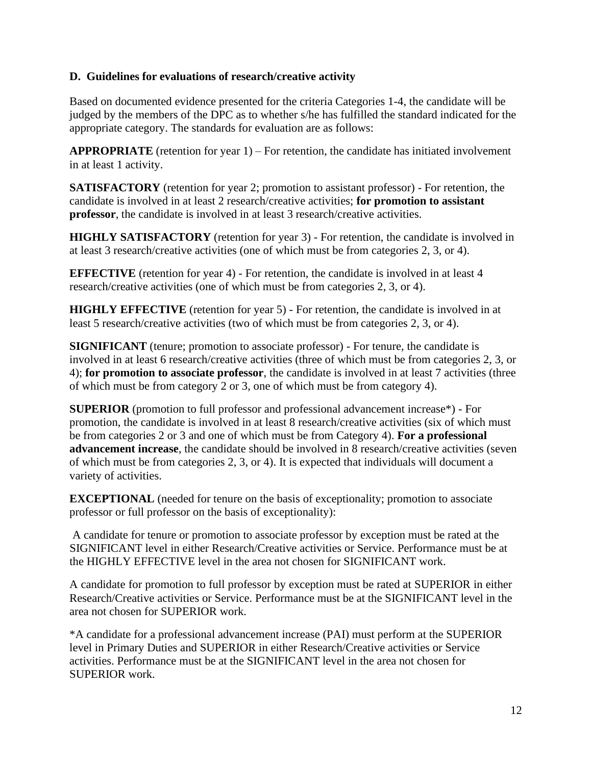#### **D. Guidelines for evaluations of research/creative activity**

Based on documented evidence presented for the criteria Categories 1-4, the candidate will be judged by the members of the DPC as to whether s/he has fulfilled the standard indicated for the appropriate category. The standards for evaluation are as follows:

**APPROPRIATE** (retention for year 1) – For retention, the candidate has initiated involvement in at least 1 activity.

**SATISFACTORY** (retention for year 2; promotion to assistant professor) - For retention, the candidate is involved in at least 2 research/creative activities; **for promotion to assistant professor**, the candidate is involved in at least 3 research/creative activities.

**HIGHLY SATISFACTORY** (retention for year 3) - For retention, the candidate is involved in at least 3 research/creative activities (one of which must be from categories 2, 3, or 4).

**EFFECTIVE** (retention for year 4) - For retention, the candidate is involved in at least 4 research/creative activities (one of which must be from categories 2, 3, or 4).

**HIGHLY EFFECTIVE** (retention for year 5) - For retention, the candidate is involved in at least 5 research/creative activities (two of which must be from categories 2, 3, or 4).

**SIGNIFICANT** (tenure; promotion to associate professor) - For tenure, the candidate is involved in at least 6 research/creative activities (three of which must be from categories 2, 3, or 4); **for promotion to associate professor**, the candidate is involved in at least 7 activities (three of which must be from category 2 or 3, one of which must be from category 4).

**SUPERIOR** (promotion to full professor and professional advancement increase\*) - For promotion, the candidate is involved in at least 8 research/creative activities (six of which must be from categories 2 or 3 and one of which must be from Category 4). **For a professional advancement increase**, the candidate should be involved in 8 research/creative activities (seven of which must be from categories 2, 3, or 4). It is expected that individuals will document a variety of activities.

**EXCEPTIONAL** (needed for tenure on the basis of exceptionality; promotion to associate professor or full professor on the basis of exceptionality):

A candidate for tenure or promotion to associate professor by exception must be rated at the SIGNIFICANT level in either Research/Creative activities or Service. Performance must be at the HIGHLY EFFECTIVE level in the area not chosen for SIGNIFICANT work.

A candidate for promotion to full professor by exception must be rated at SUPERIOR in either Research/Creative activities or Service. Performance must be at the SIGNIFICANT level in the area not chosen for SUPERIOR work.

\*A candidate for a professional advancement increase (PAI) must perform at the SUPERIOR level in Primary Duties and SUPERIOR in either Research/Creative activities or Service activities. Performance must be at the SIGNIFICANT level in the area not chosen for SUPERIOR work.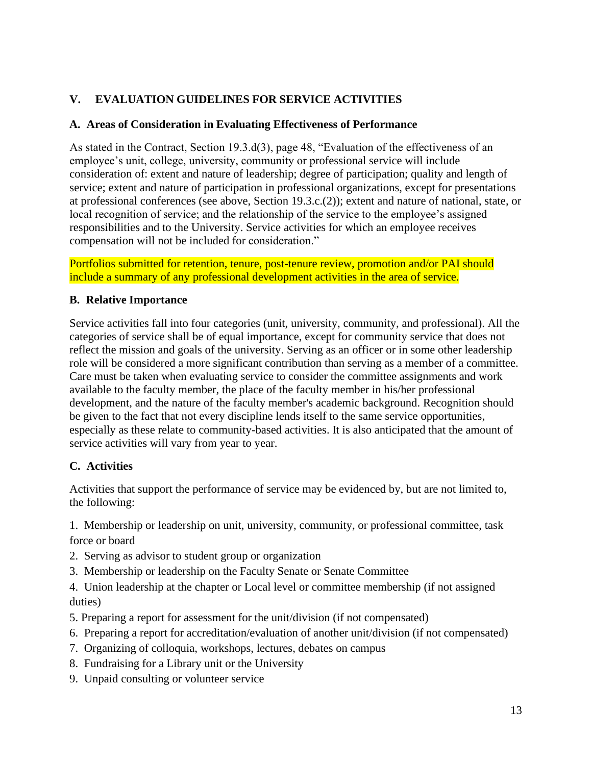# **V. EVALUATION GUIDELINES FOR SERVICE ACTIVITIES**

# **A. Areas of Consideration in Evaluating Effectiveness of Performance**

As stated in the Contract, Section 19.3.d(3), page 48, "Evaluation of the effectiveness of an employee's unit, college, university, community or professional service will include consideration of: extent and nature of leadership; degree of participation; quality and length of service; extent and nature of participation in professional organizations, except for presentations at professional conferences (see above, Section 19.3.c.(2)); extent and nature of national, state, or local recognition of service; and the relationship of the service to the employee's assigned responsibilities and to the University. Service activities for which an employee receives compensation will not be included for consideration."

Portfolios submitted for retention, tenure, post-tenure review, promotion and/or PAI should include a summary of any professional development activities in the area of service.

## **B. Relative Importance**

Service activities fall into four categories (unit, university, community, and professional). All the categories of service shall be of equal importance, except for community service that does not reflect the mission and goals of the university. Serving as an officer or in some other leadership role will be considered a more significant contribution than serving as a member of a committee. Care must be taken when evaluating service to consider the committee assignments and work available to the faculty member, the place of the faculty member in his/her professional development, and the nature of the faculty member's academic background. Recognition should be given to the fact that not every discipline lends itself to the same service opportunities, especially as these relate to community-based activities. It is also anticipated that the amount of service activities will vary from year to year.

# **C. Activities**

Activities that support the performance of service may be evidenced by, but are not limited to, the following:

1. Membership or leadership on unit, university, community, or professional committee, task force or board

- 2. Serving as advisor to student group or organization
- 3. Membership or leadership on the Faculty Senate or Senate Committee

4. Union leadership at the chapter or Local level or committee membership (if not assigned duties)

- 5. Preparing a report for assessment for the unit/division (if not compensated)
- 6. Preparing a report for accreditation/evaluation of another unit/division (if not compensated)
- 7. Organizing of colloquia, workshops, lectures, debates on campus
- 8. Fundraising for a Library unit or the University
- 9. Unpaid consulting or volunteer service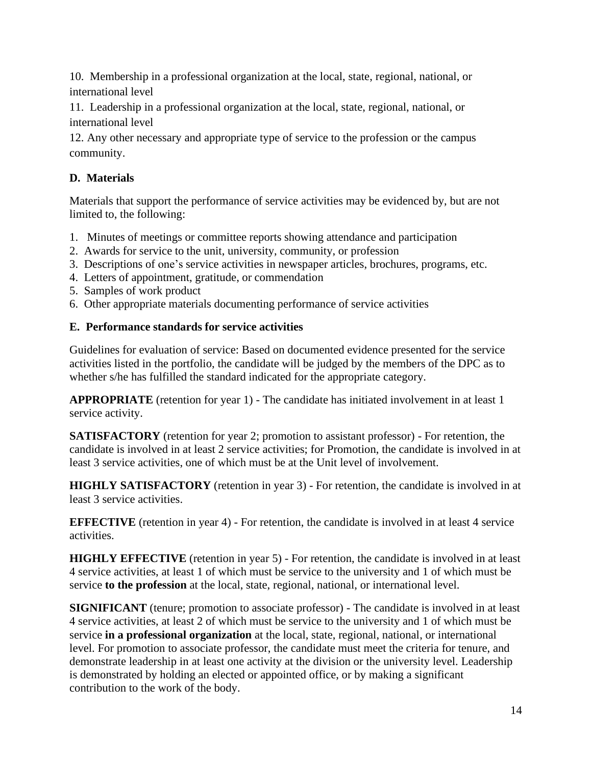10. Membership in a professional organization at the local, state, regional, national, or international level

11. Leadership in a professional organization at the local, state, regional, national, or international level

12. Any other necessary and appropriate type of service to the profession or the campus community.

# **D. Materials**

Materials that support the performance of service activities may be evidenced by, but are not limited to, the following:

- 1. Minutes of meetings or committee reports showing attendance and participation
- 2. Awards for service to the unit, university, community, or profession
- 3. Descriptions of one's service activities in newspaper articles, brochures, programs, etc.
- 4. Letters of appointment, gratitude, or commendation
- 5. Samples of work product
- 6. Other appropriate materials documenting performance of service activities

# **E. Performance standards for service activities**

Guidelines for evaluation of service: Based on documented evidence presented for the service activities listed in the portfolio, the candidate will be judged by the members of the DPC as to whether s/he has fulfilled the standard indicated for the appropriate category.

**APPROPRIATE** (retention for year 1) - The candidate has initiated involvement in at least 1 service activity.

**SATISFACTORY** (retention for year 2; promotion to assistant professor) - For retention, the candidate is involved in at least 2 service activities; for Promotion, the candidate is involved in at least 3 service activities, one of which must be at the Unit level of involvement.

**HIGHLY SATISFACTORY** (retention in year 3) - For retention, the candidate is involved in at least 3 service activities.

**EFFECTIVE** (retention in year 4) - For retention, the candidate is involved in at least 4 service activities.

**HIGHLY EFFECTIVE** (retention in year 5) - For retention, the candidate is involved in at least 4 service activities, at least 1 of which must be service to the university and 1 of which must be service **to the profession** at the local, state, regional, national, or international level.

**SIGNIFICANT** (tenure; promotion to associate professor) - The candidate is involved in at least 4 service activities, at least 2 of which must be service to the university and 1 of which must be service **in a professional organization** at the local, state, regional, national, or international level. For promotion to associate professor, the candidate must meet the criteria for tenure, and demonstrate leadership in at least one activity at the division or the university level. Leadership is demonstrated by holding an elected or appointed office, or by making a significant contribution to the work of the body.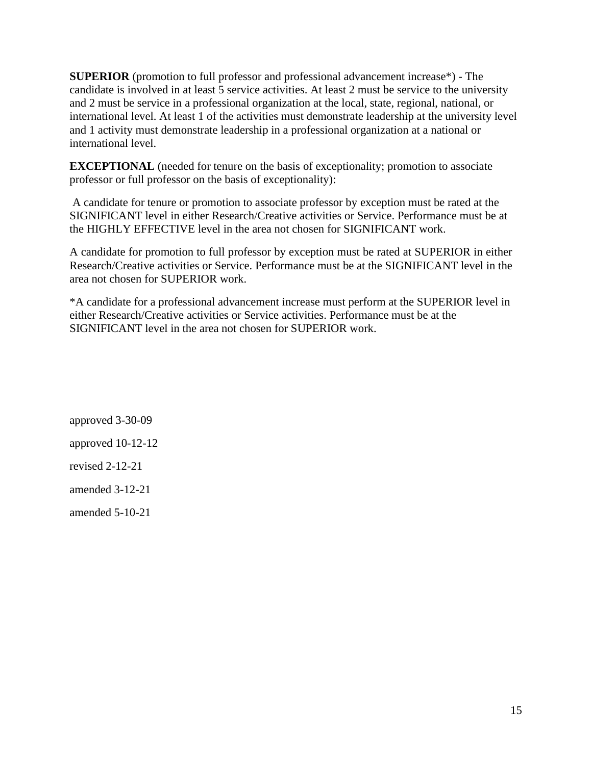**SUPERIOR** (promotion to full professor and professional advancement increase\*) - The candidate is involved in at least 5 service activities. At least 2 must be service to the university and 2 must be service in a professional organization at the local, state, regional, national, or international level. At least 1 of the activities must demonstrate leadership at the university level and 1 activity must demonstrate leadership in a professional organization at a national or international level.

**EXCEPTIONAL** (needed for tenure on the basis of exceptionality; promotion to associate professor or full professor on the basis of exceptionality):

A candidate for tenure or promotion to associate professor by exception must be rated at the SIGNIFICANT level in either Research/Creative activities or Service. Performance must be at the HIGHLY EFFECTIVE level in the area not chosen for SIGNIFICANT work.

A candidate for promotion to full professor by exception must be rated at SUPERIOR in either Research/Creative activities or Service. Performance must be at the SIGNIFICANT level in the area not chosen for SUPERIOR work.

\*A candidate for a professional advancement increase must perform at the SUPERIOR level in either Research/Creative activities or Service activities. Performance must be at the SIGNIFICANT level in the area not chosen for SUPERIOR work.

approved 3-30-09 approved 10-12-12 revised 2-12-21 amended 3-12-21

amended 5-10-21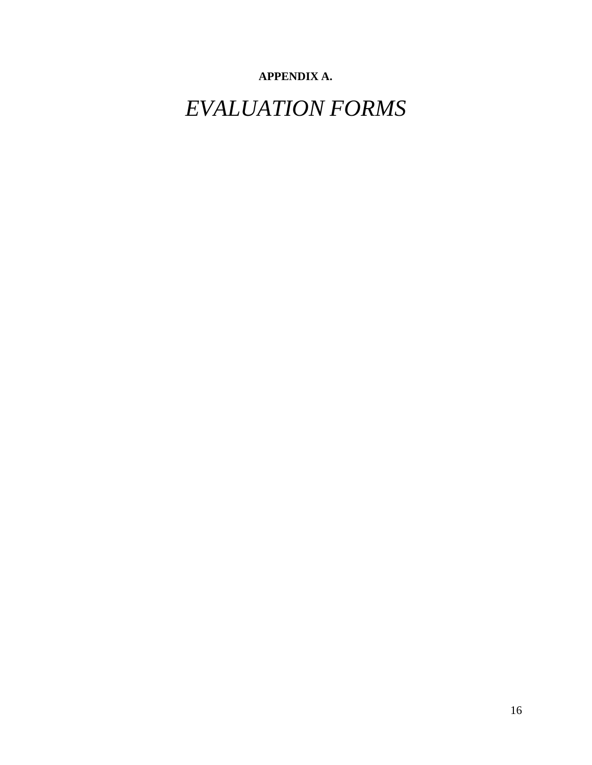# **APPENDIX A.**

*EVALUATION FORMS*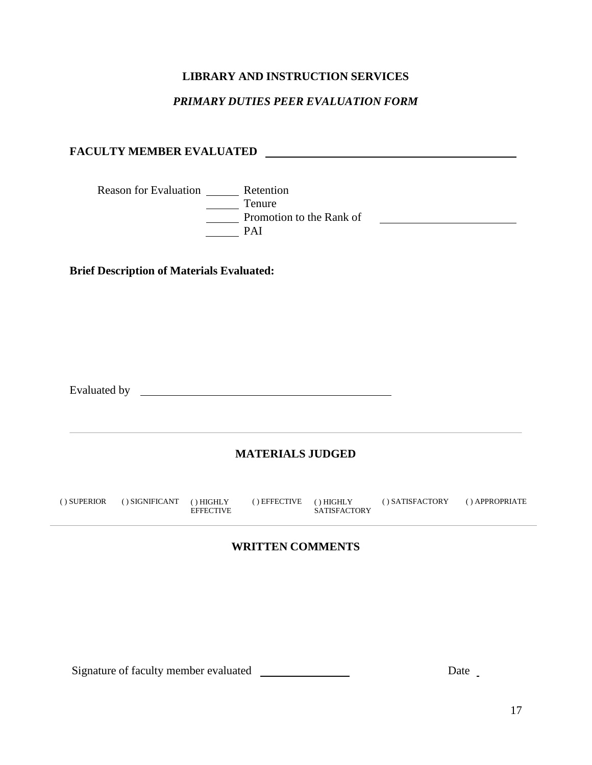# **LIBRARY AND INSTRUCTION SERVICES**

## *PRIMARY DUTIES PEER EVALUATION FORM*

# **FACULTY MEMBER EVALUATED**

Reason for Evaluation \_\_\_\_\_\_\_\_ Retention  $\frac{1}{\sqrt{1-\frac{1}{2}}\pi}$  Tenure Promotion to the Rank of Promotion to the Rank of PAI

**Brief Description of Materials Evaluated:**

Evaluated by

# **MATERIALS JUDGED**

| () SATISFACTORY<br>() APPROPRIATE<br>() SIGNIFICANT () HIGHLY<br>$()$ EFFECTIVE $()$ HIGHLY<br>( ) SUPERIOR<br><b>SATISFACTORY</b><br><b>EFFECTIVE</b> |
|--------------------------------------------------------------------------------------------------------------------------------------------------------|
|--------------------------------------------------------------------------------------------------------------------------------------------------------|

#### **WRITTEN COMMENTS**

Signature of faculty member evaluated Date